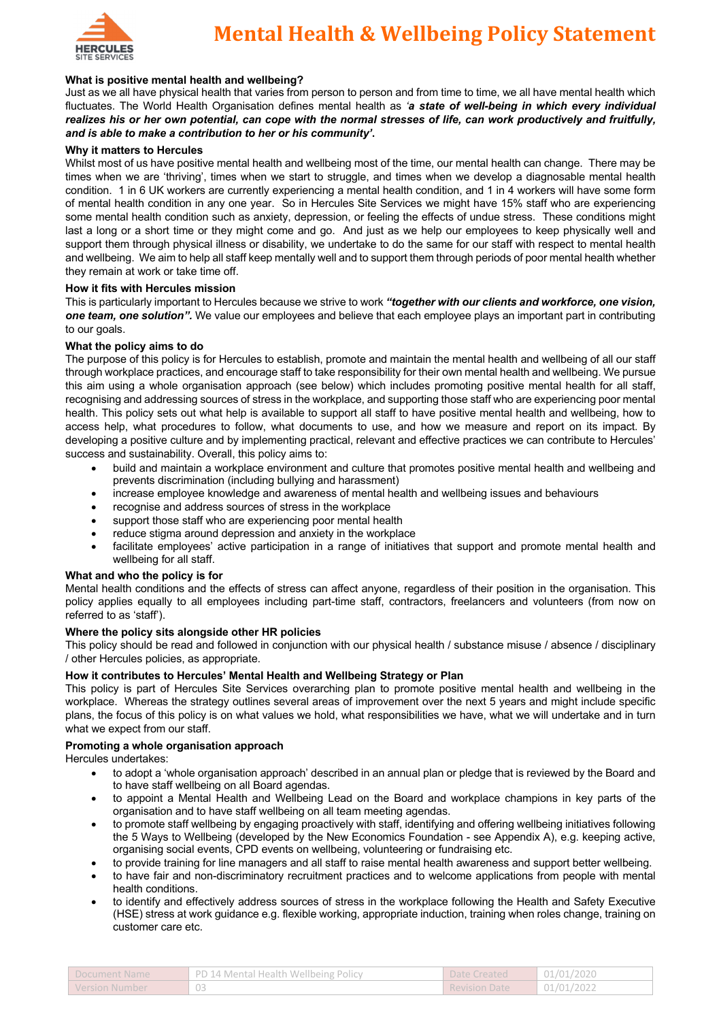

# **What is positive mental health and wellbeing?**

Just as we all have physical health that varies from person to person and from time to time, we all have mental health which fluctuates. The World Health Organisation defines mental health as *'a state of well-being in which every individual realizes his or her own potential, can cope with the normal stresses of life, can work productively and fruitfully, and is able to make a contribution to her or his community'***.**

## **Why it matters to Hercules**

Whilst most of us have positive mental health and wellbeing most of the time, our mental health can change. There may be times when we are 'thriving', times when we start to struggle, and times when we develop a diagnosable mental health condition. 1 in 6 UK workers are currently experiencing a mental health condition, and 1 in 4 workers will have some form of mental health condition in any one year. So in Hercules Site Services we might have 15% staff who are experiencing some mental health condition such as anxiety, depression, or feeling the effects of undue stress. These conditions might last a long or a short time or they might come and go. And just as we help our employees to keep physically well and support them through physical illness or disability, we undertake to do the same for our staff with respect to mental health and wellbeing. We aim to help all staff keep mentally well and to support them through periods of poor mental health whether they remain at work or take time off.

## **How it fits with Hercules mission**

This is particularly important to Hercules because we strive to work *"together with our clients and workforce, one vision, one team, one solution".* We value our employees and believe that each employee plays an important part in contributing to our goals.

## **What the policy aims to do**

The purpose of this policy is for Hercules to establish, promote and maintain the mental health and wellbeing of all our staff through workplace practices, and encourage staff to take responsibility for their own mental health and wellbeing. We pursue this aim using a whole organisation approach (see below) which includes promoting positive mental health for all staff, recognising and addressing sources of stress in the workplace, and supporting those staff who are experiencing poor mental health. This policy sets out what help is available to support all staff to have positive mental health and wellbeing, how to access help, what procedures to follow, what documents to use, and how we measure and report on its impact. By developing a positive culture and by implementing practical, relevant and effective practices we can contribute to Hercules' success and sustainability. Overall, this policy aims to:

- build and maintain a workplace environment and culture that promotes positive mental health and wellbeing and prevents discrimination (including bullying and harassment)
- increase employee knowledge and awareness of mental health and wellbeing issues and behaviours
- recognise and address sources of stress in the workplace
- support those staff who are experiencing poor mental health
- reduce stigma around depression and anxiety in the workplace
- facilitate employees' active participation in a range of initiatives that support and promote mental health and wellbeing for all staff.

## **What and who the policy is for**

Mental health conditions and the effects of stress can affect anyone, regardless of their position in the organisation. This policy applies equally to all employees including part-time staff, contractors, freelancers and volunteers (from now on referred to as 'staff').

# **Where the policy sits alongside other HR policies**

This policy should be read and followed in conjunction with our physical health / substance misuse / absence / disciplinary / other Hercules policies, as appropriate.

## **How it contributes to Hercules' Mental Health and Wellbeing Strategy or Plan**

This policy is part of Hercules Site Services overarching plan to promote positive mental health and wellbeing in the workplace. Whereas the strategy outlines several areas of improvement over the next 5 years and might include specific plans, the focus of this policy is on what values we hold, what responsibilities we have, what we will undertake and in turn what we expect from our staff.

# **Promoting a whole organisation approach**

Hercules undertakes:

- to adopt a 'whole organisation approach' described in an annual plan or pledge that is reviewed by the Board and to have staff wellbeing on all Board agendas.
- to appoint a Mental Health and Wellbeing Lead on the Board and workplace champions in key parts of the organisation and to have staff wellbeing on all team meeting agendas.
- to promote staff wellbeing by engaging proactively with staff, identifying and offering wellbeing initiatives following the 5 Ways to Wellbeing (developed by the New Economics Foundation - see Appendix A), e.g. keeping active, organising social events, CPD events on wellbeing, volunteering or fundraising etc.
- to provide training for line managers and all staff to raise mental health awareness and support better wellbeing.
- to have fair and non-discriminatory recruitment practices and to welcome applications from people with mental health conditions.
- to identify and effectively address sources of stress in the workplace following the Health and Safety Executive (HSE) stress at work guidance e.g. flexible working, appropriate induction, training when roles change, training on customer care etc.

| Document Name         | PD 14 Mental Health Wellbeing Policy | Date Created         | 01/01/2020 |
|-----------------------|--------------------------------------|----------------------|------------|
| <b>Version Number</b> |                                      | <b>Revision Date</b> | 01/01/2022 |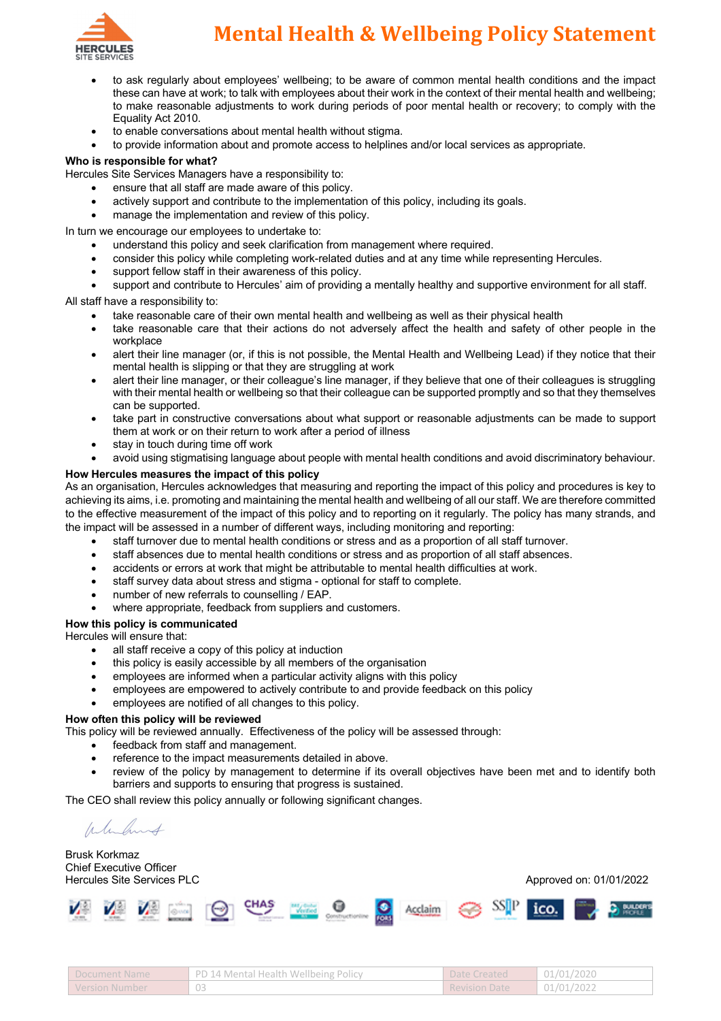

# **Mental Health & Wellbeing Policy Statement**

- to ask regularly about employees' wellbeing; to be aware of common mental health conditions and the impact these can have at work; to talk with employees about their work in the context of their mental health and wellbeing; to make reasonable adjustments to work during periods of poor mental health or recovery; to comply with the Equality Act 2010.
- to enable conversations about mental health without stigma.
- to provide information about and promote access to helplines and/or local services as appropriate.

## **Who is responsible for what?**

Hercules Site Services Managers have a responsibility to:

- ensure that all staff are made aware of this policy.
- actively support and contribute to the implementation of this policy, including its goals.
- manage the implementation and review of this policy.

In turn we encourage our employees to undertake to:

- understand this policy and seek clarification from management where required.
- consider this policy while completing work-related duties and at any time while representing Hercules.
- support fellow staff in their awareness of this policy.
- support and contribute to Hercules' aim of providing a mentally healthy and supportive environment for all staff. All staff have a responsibility to:

- take reasonable care of their own mental health and wellbeing as well as their physical health
- take reasonable care that their actions do not adversely affect the health and safety of other people in the workplace
- alert their line manager (or, if this is not possible, the Mental Health and Wellbeing Lead) if they notice that their mental health is slipping or that they are struggling at work
- alert their line manager, or their colleague's line manager, if they believe that one of their colleagues is struggling with their mental health or wellbeing so that their colleague can be supported promptly and so that they themselves can be supported.
- take part in constructive conversations about what support or reasonable adjustments can be made to support them at work or on their return to work after a period of illness
- stay in touch during time off work
- avoid using stigmatising language about people with mental health conditions and avoid discriminatory behaviour.

## **How Hercules measures the impact of this policy**

As an organisation, Hercules acknowledges that measuring and reporting the impact of this policy and procedures is key to achieving its aims, i.e. promoting and maintaining the mental health and wellbeing of all our staff. We are therefore committed to the effective measurement of the impact of this policy and to reporting on it regularly. The policy has many strands, and the impact will be assessed in a number of different ways, including monitoring and reporting:

- staff turnover due to mental health conditions or stress and as a proportion of all staff turnover.
- staff absences due to mental health conditions or stress and as proportion of all staff absences.
- accidents or errors at work that might be attributable to mental health difficulties at work.
- staff survey data about stress and stigma optional for staff to complete.
- number of new referrals to counselling / EAP.
- where appropriate, feedback from suppliers and customers.

# **How this policy is communicated**

Hercules will ensure that:

- all staff receive a copy of this policy at induction
- this policy is easily accessible by all members of the organisation
- employees are informed when a particular activity aligns with this policy
- employees are empowered to actively contribute to and provide feedback on this policy
- employees are notified of all changes to this policy.

#### **How often this policy will be reviewed**

This policy will be reviewed annually. Effectiveness of the policy will be assessed through:

- feedback from staff and management.
- reference to the impact measurements detailed in above.
- review of the policy by management to determine if its overall objectives have been met and to identify both barriers and supports to ensuring that progress is sustained.

The CEO shall review this policy annually or following significant changes.

Whitney

Brusk Korkmaz Chief Executive Officer Hercules Site Services PLC **Approved on: 01/01/2022** 



| <b>Document Name</b> | PD 14 Mental Health Wellbeing Policy | Date Created         | 01/01/2020 |
|----------------------|--------------------------------------|----------------------|------------|
| Version Number       |                                      | <b>Revision Date</b> | 01/01/2022 |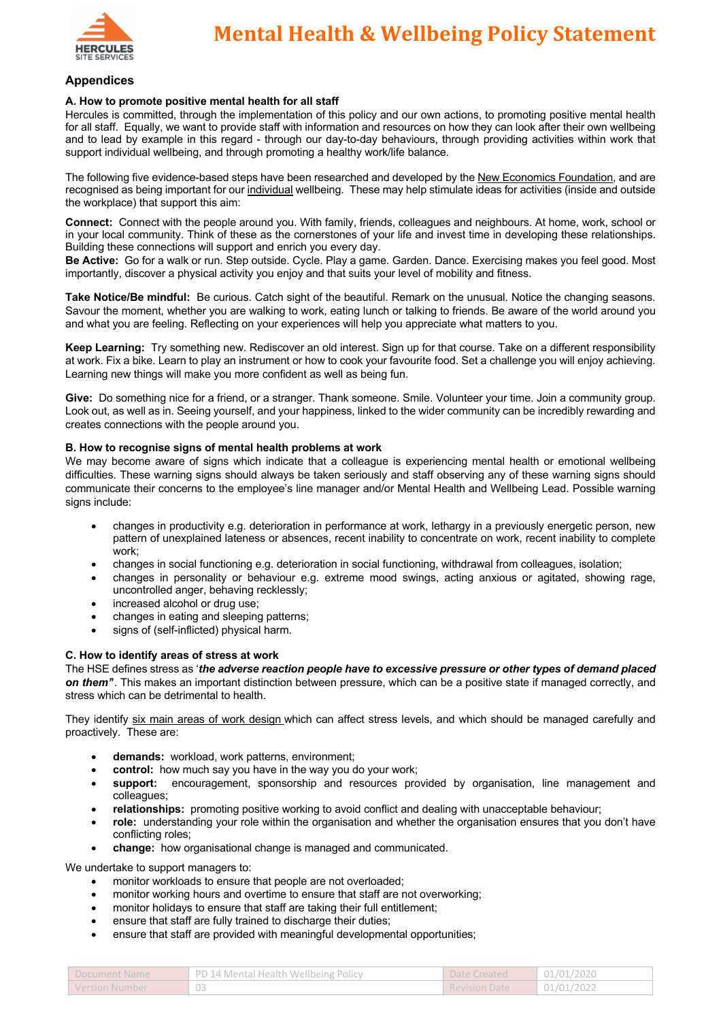

# **Appendices**

## **A. How to promote positive mental health for all staff**

Hercules is committed, through the implementation of this policy and our own actions, to promoting positive mental health for all staff. Equally, we want to provide staff with information and resources on how they can look after their own wellbeing and to lead by example in this regard - through our day-to-day behaviours, through providing activities within work that support individual wellbeing, and through promoting a healthy work/life balance.

The following five evidence-based steps have been researched and developed by the New Economics Foundation, and are recognised as being important for our individual wellbeing. These may help stimulate ideas for activities (inside and outside the workplace) that support this aim:

**Connect:** Connect with the people around you. With family, friends, colleagues and neighbours. At home, work, school or in your local community. Think of these as the cornerstones of your life and invest time in developing these relationships. Building these connections will support and enrich you every day.

**Be Active:** Go for a walk or run. Step outside. Cycle. Play a game. Garden. Dance. Exercising makes you feel good. Most importantly, discover a physical activity you enjoy and that suits your level of mobility and fitness.

**Take Notice/Be mindful:** Be curious. Catch sight of the beautiful. Remark on the unusual. Notice the changing seasons. Savour the moment, whether you are walking to work, eating lunch or talking to friends. Be aware of the world around you and what you are feeling. Reflecting on your experiences will help you appreciate what matters to you.

**Keep Learning:** Try something new. Rediscover an old interest. Sign up for that course. Take on a different responsibility at work. Fix a bike. Learn to play an instrument or how to cook your favourite food. Set a challenge you will enjoy achieving. Learning new things will make you more confident as well as being fun.

**Give:** Do something nice for a friend, or a stranger. Thank someone. Smile. Volunteer your time. Join a community group. Look out, as well as in. Seeing yourself, and your happiness, linked to the wider community can be incredibly rewarding and creates connections with the people around you.

# **B. How to recognise signs of mental health problems at work**

We may become aware of signs which indicate that a colleague is experiencing mental health or emotional wellbeing difficulties. These warning signs should always be taken seriously and staff observing any of these warning signs should communicate their concerns to the employee's line manager and/or Mental Health and Wellbeing Lead. Possible warning signs include:

- changes in productivity e.g. deterioration in performance at work, lethargy in a previously energetic person, new pattern of unexplained lateness or absences, recent inability to concentrate on work, recent inability to complete work;
- changes in social functioning e.g. deterioration in social functioning, withdrawal from colleagues, isolation;
- changes in personality or behaviour e.g. extreme mood swings, acting anxious or agitated, showing rage, uncontrolled anger, behaving recklessly;
- increased alcohol or drug use;
- changes in eating and sleeping patterns;
- signs of (self-inflicted) physical harm.

#### **C. How to identify areas of stress at work**

The HSE defines stress as '*the adverse reaction people have to excessive pressure or other types of demand placed on them'***'**. This makes an important distinction between pressure, which can be a positive state if managed correctly, and stress which can be detrimental to health.

They identify six main areas of work design which can affect stress levels, and which should be managed carefully and proactively. These are:

- **demands:** workload, work patterns, environment;
- **control:** how much say you have in the way you do your work;
- **support:** encouragement, sponsorship and resources provided by organisation, line management and colleagues;
- **relationships:** promoting positive working to avoid conflict and dealing with unacceptable behaviour;
- **role:** understanding your role within the organisation and whether the organisation ensures that you don't have conflicting roles;
- **change:** how organisational change is managed and communicated.

We undertake to support managers to:

- monitor workloads to ensure that people are not overloaded;
- monitor working hours and overtime to ensure that staff are not overworking;
- monitor holidays to ensure that staff are taking their full entitlement;
- ensure that staff are fully trained to discharge their duties;
- ensure that staff are provided with meaningful developmental opportunities;

| Document Name         | PD 14 Mental Health Wellbeing Policy | Date Created         | 01/01/2020 |
|-----------------------|--------------------------------------|----------------------|------------|
| <b>Version Number</b> | 03                                   | <b>Revision Date</b> | 01/01/2022 |